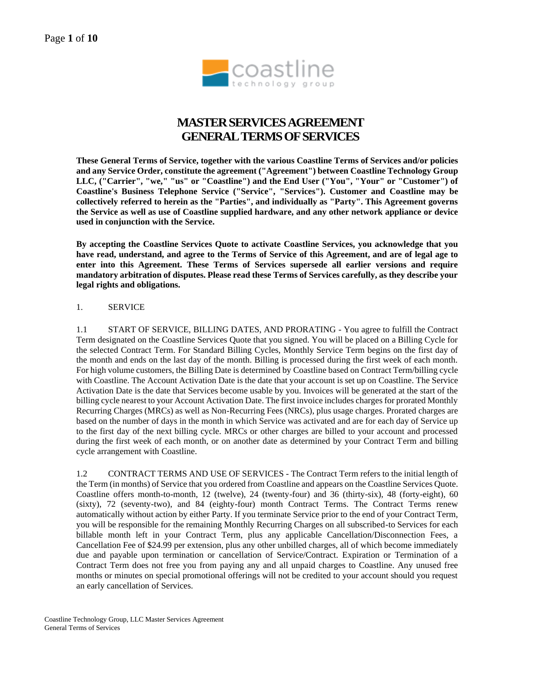

# **MASTER SERVICESAGREEMENT GENERAL TERMS OF SERVICES**

**These General Terms of Service, together with the various Coastline Terms of Services and/or policies and any Service Order, constitute the agreement ("Agreement") between Coastline Technology Group LLC, ("Carrier", "we," "us" or "Coastline") and the End User ("You", "Your" or "Customer") of Coastline's Business Telephone Service ("Service", "Services"). Customer and Coastline may be collectively referred to herein as the "Parties", and individually as "Party". This Agreement governs the Service as well as use of Coastline supplied hardware, and any other network appliance or device used in conjunction with the Service.** 

**By accepting the Coastline Services Quote to activate Coastline Services, you acknowledge that you have read, understand, and agree to the Terms of Service of this Agreement, and are of legal age to enter into this Agreement. These Terms of Services supersede all earlier versions and require mandatory arbitration of disputes. Please read these Terms of Services carefully, as they describe your legal rights and obligations.** 

#### 1. SERVICE

1.1 START OF SERVICE, BILLING DATES, AND PRORATING - You agree to fulfill the Contract Term designated on the Coastline Services Quote that you signed. You will be placed on a Billing Cycle for the selected Contract Term. For Standard Billing Cycles, Monthly Service Term begins on the first day of the month and ends on the last day of the month. Billing is processed during the first week of each month. For high volume customers, the Billing Date is determined by Coastline based on Contract Term/billing cycle with Coastline. The Account Activation Date is the date that your account is set up on Coastline. The Service Activation Date is the date that Services become usable by you. Invoices will be generated at the start of the billing cycle nearest to your Account Activation Date. The first invoice includes charges for prorated Monthly Recurring Charges (MRCs) as well as Non-Recurring Fees (NRCs), plus usage charges. Prorated charges are based on the number of days in the month in which Service was activated and are for each day of Service up to the first day of the next billing cycle. MRCs or other charges are billed to your account and processed during the first week of each month, or on another date as determined by your Contract Term and billing cycle arrangement with Coastline.

1.2 CONTRACT TERMS AND USE OF SERVICES - The Contract Term refers to the initial length of the Term (in months) of Service that you ordered from Coastline and appears on the Coastline Services Quote. Coastline offers month-to-month, 12 (twelve), 24 (twenty-four) and 36 (thirty-six), 48 (forty-eight), 60 (sixty), 72 (seventy-two), and 84 (eighty-four) month Contract Terms. The Contract Terms renew automatically without action by either Party. If you terminate Service prior to the end of your Contract Term, you will be responsible for the remaining Monthly Recurring Charges on all subscribed-to Services for each billable month left in your Contract Term, plus any applicable Cancellation/Disconnection Fees, a Cancellation Fee of \$24.99 per extension, plus any other unbilled charges, all of which become immediately due and payable upon termination or cancellation of Service/Contract. Expiration or Termination of a Contract Term does not free you from paying any and all unpaid charges to Coastline. Any unused free months or minutes on special promotional offerings will not be credited to your account should you request an early cancellation of Services.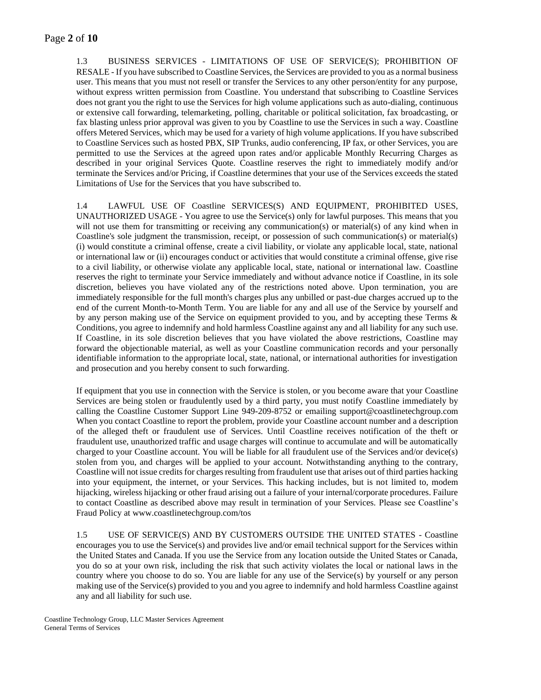### Page **2** of **10**

1.3 BUSINESS SERVICES - LIMITATIONS OF USE OF SERVICE(S); PROHIBITION OF RESALE - If you have subscribed to Coastline Services, the Services are provided to you as a normal business user. This means that you must not resell or transfer the Services to any other person/entity for any purpose, without express written permission from Coastline. You understand that subscribing to Coastline Services does not grant you the right to use the Services for high volume applications such as auto-dialing, continuous or extensive call forwarding, telemarketing, polling, charitable or political solicitation, fax broadcasting, or fax blasting unless prior approval was given to you by Coastline to use the Services in such a way. Coastline offers Metered Services, which may be used for a variety of high volume applications. If you have subscribed to Coastline Services such as hosted PBX, SIP Trunks, audio conferencing, IP fax, or other Services, you are permitted to use the Services at the agreed upon rates and/or applicable Monthly Recurring Charges as described in your original Services Quote. Coastline reserves the right to immediately modify and/or terminate the Services and/or Pricing, if Coastline determines that your use of the Services exceeds the stated Limitations of Use for the Services that you have subscribed to.

1.4 LAWFUL USE OF Coastline SERVICES(S) AND EQUIPMENT, PROHIBITED USES, UNAUTHORIZED USAGE - You agree to use the Service(s) only for lawful purposes. This means that you will not use them for transmitting or receiving any communication(s) or material(s) of any kind when in Coastline's sole judgment the transmission, receipt, or possession of such communication(s) or material(s) (i) would constitute a criminal offense, create a civil liability, or violate any applicable local, state, national or international law or (ii) encourages conduct or activities that would constitute a criminal offense, give rise to a civil liability, or otherwise violate any applicable local, state, national or international law. Coastline reserves the right to terminate your Service immediately and without advance notice if Coastline, in its sole discretion, believes you have violated any of the restrictions noted above. Upon termination, you are immediately responsible for the full month's charges plus any unbilled or past-due charges accrued up to the end of the current Month-to-Month Term. You are liable for any and all use of the Service by yourself and by any person making use of the Service on equipment provided to you, and by accepting these Terms & Conditions, you agree to indemnify and hold harmless Coastline against any and all liability for any such use. If Coastline, in its sole discretion believes that you have violated the above restrictions, Coastline may forward the objectionable material, as well as your Coastline communication records and your personally identifiable information to the appropriate local, state, national, or international authorities for investigation and prosecution and you hereby consent to such forwarding.

If equipment that you use in connection with the Service is stolen, or you become aware that your Coastline Services are being stolen or fraudulently used by a third party, you must notify Coastline immediately by calling the Coastline Customer Support Line 949-209-8752 or emailing support@coastlinetechgroup.com When you contact Coastline to report the problem, provide your Coastline account number and a description of the alleged theft or fraudulent use of Services. Until Coastline receives notification of the theft or fraudulent use, unauthorized traffic and usage charges will continue to accumulate and will be automatically charged to your Coastline account. You will be liable for all fraudulent use of the Services and/or device(s) stolen from you, and charges will be applied to your account. Notwithstanding anything to the contrary, Coastline will not issue credits for charges resulting from fraudulent use that arises out of third parties hacking into your equipment, the internet, or your Services. This hacking includes, but is not limited to, modem hijacking, wireless hijacking or other fraud arising out a failure of your internal/corporate procedures. Failure to contact Coastline as described above may result in termination of your Services. Please see Coastline's Fraud Policy at www.coastlinetechgroup.com/tos

1.5 USE OF SERVICE(S) AND BY CUSTOMERS OUTSIDE THE UNITED STATES - Coastline encourages you to use the Service(s) and provides live and/or email technical support for the Services within the United States and Canada. If you use the Service from any location outside the United States or Canada, you do so at your own risk, including the risk that such activity violates the local or national laws in the country where you choose to do so. You are liable for any use of the Service(s) by yourself or any person making use of the Service(s) provided to you and you agree to indemnify and hold harmless Coastline against any and all liability for such use.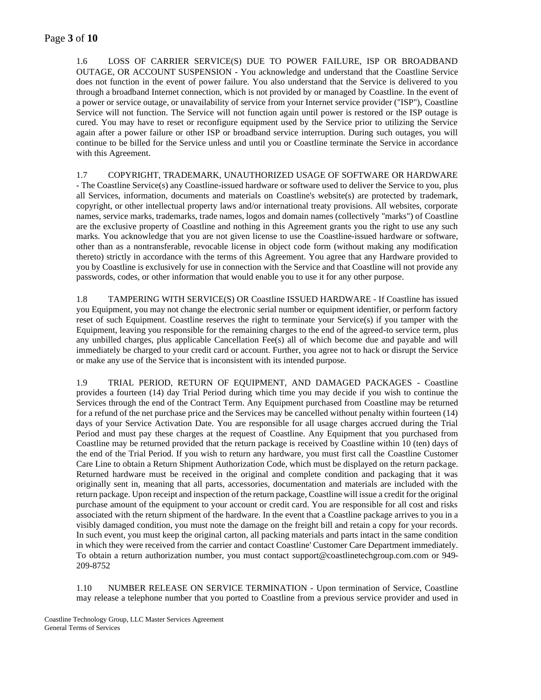### Page **3** of **10**

1.6 LOSS OF CARRIER SERVICE(S) DUE TO POWER FAILURE, ISP OR BROADBAND OUTAGE, OR ACCOUNT SUSPENSION - You acknowledge and understand that the Coastline Service does not function in the event of power failure. You also understand that the Service is delivered to you through a broadband Internet connection, which is not provided by or managed by Coastline. In the event of a power or service outage, or unavailability of service from your Internet service provider ("ISP"), Coastline Service will not function. The Service will not function again until power is restored or the ISP outage is cured. You may have to reset or reconfigure equipment used by the Service prior to utilizing the Service again after a power failure or other ISP or broadband service interruption. During such outages, you will continue to be billed for the Service unless and until you or Coastline terminate the Service in accordance with this Agreement.

1.7 COPYRIGHT, TRADEMARK, UNAUTHORIZED USAGE OF SOFTWARE OR HARDWARE - The Coastline Service(s) any Coastline-issued hardware or software used to deliver the Service to you, plus all Services, information, documents and materials on Coastline's website(s) are protected by trademark, copyright, or other intellectual property laws and/or international treaty provisions. All websites, corporate names, service marks, trademarks, trade names, logos and domain names (collectively "marks") of Coastline are the exclusive property of Coastline and nothing in this Agreement grants you the right to use any such marks. You acknowledge that you are not given license to use the Coastline-issued hardware or software, other than as a nontransferable, revocable license in object code form (without making any modification thereto) strictly in accordance with the terms of this Agreement. You agree that any Hardware provided to you by Coastline is exclusively for use in connection with the Service and that Coastline will not provide any passwords, codes, or other information that would enable you to use it for any other purpose.

1.8 TAMPERING WITH SERVICE(S) OR Coastline ISSUED HARDWARE - If Coastline has issued you Equipment, you may not change the electronic serial number or equipment identifier, or perform factory reset of such Equipment. Coastline reserves the right to terminate your Service(s) if you tamper with the Equipment, leaving you responsible for the remaining charges to the end of the agreed-to service term, plus any unbilled charges, plus applicable Cancellation Fee(s) all of which become due and payable and will immediately be charged to your credit card or account. Further, you agree not to hack or disrupt the Service or make any use of the Service that is inconsistent with its intended purpose.

1.9 TRIAL PERIOD, RETURN OF EQUIPMENT, AND DAMAGED PACKAGES - Coastline provides a fourteen (14) day Trial Period during which time you may decide if you wish to continue the Services through the end of the Contract Term. Any Equipment purchased from Coastline may be returned for a refund of the net purchase price and the Services may be cancelled without penalty within fourteen (14) days of your Service Activation Date. You are responsible for all usage charges accrued during the Trial Period and must pay these charges at the request of Coastline. Any Equipment that you purchased from Coastline may be returned provided that the return package is received by Coastline within 10 (ten) days of the end of the Trial Period. If you wish to return any hardware, you must first call the Coastline Customer Care Line to obtain a Return Shipment Authorization Code, which must be displayed on the return package. Returned hardware must be received in the original and complete condition and packaging that it was originally sent in, meaning that all parts, accessories, documentation and materials are included with the return package. Upon receipt and inspection of the return package, Coastline will issue a credit for the original purchase amount of the equipment to your account or credit card. You are responsible for all cost and risks associated with the return shipment of the hardware. In the event that a Coastline package arrives to you in a visibly damaged condition, you must note the damage on the freight bill and retain a copy for your records. In such event, you must keep the original carton, all packing materials and parts intact in the same condition in which they were received from the carrier and contact Coastline' Customer Care Department immediately. To obtain a return authorization number, you must contact support@coastlinetechgroup.com.com or 949- 209-8752

1.10 NUMBER RELEASE ON SERVICE TERMINATION - Upon termination of Service, Coastline may release a telephone number that you ported to Coastline from a previous service provider and used in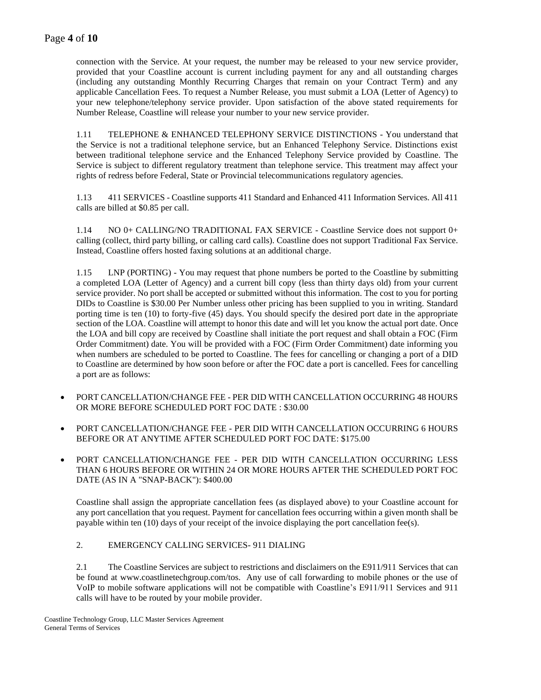connection with the Service. At your request, the number may be released to your new service provider, provided that your Coastline account is current including payment for any and all outstanding charges (including any outstanding Monthly Recurring Charges that remain on your Contract Term) and any applicable Cancellation Fees. To request a Number Release, you must submit a LOA (Letter of Agency) to your new telephone/telephony service provider. Upon satisfaction of the above stated requirements for Number Release, Coastline will release your number to your new service provider.

1.11 TELEPHONE & ENHANCED TELEPHONY SERVICE DISTINCTIONS - You understand that the Service is not a traditional telephone service, but an Enhanced Telephony Service. Distinctions exist between traditional telephone service and the Enhanced Telephony Service provided by Coastline. The Service is subject to different regulatory treatment than telephone service. This treatment may affect your rights of redress before Federal, State or Provincial telecommunications regulatory agencies.

1.13 411 SERVICES - Coastline supports 411 Standard and Enhanced 411 Information Services. All 411 calls are billed at \$0.85 per call.

1.14 NO 0+ CALLING/NO TRADITIONAL FAX SERVICE - Coastline Service does not support 0+ calling (collect, third party billing, or calling card calls). Coastline does not support Traditional Fax Service. Instead, Coastline offers hosted faxing solutions at an additional charge.

1.15 LNP (PORTING) - You may request that phone numbers be ported to the Coastline by submitting a completed LOA (Letter of Agency) and a current bill copy (less than thirty days old) from your current service provider. No port shall be accepted or submitted without this information. The cost to you for porting DIDs to Coastline is \$30.00 Per Number unless other pricing has been supplied to you in writing. Standard porting time is ten (10) to forty-five (45) days. You should specify the desired port date in the appropriate section of the LOA. Coastline will attempt to honor this date and will let you know the actual port date. Once the LOA and bill copy are received by Coastline shall initiate the port request and shall obtain a FOC (Firm Order Commitment) date. You will be provided with a FOC (Firm Order Commitment) date informing you when numbers are scheduled to be ported to Coastline. The fees for cancelling or changing a port of a DID to Coastline are determined by how soon before or after the FOC date a port is cancelled. Fees for cancelling a port are as follows:

- PORT CANCELLATION/CHANGE FEE PER DID WITH CANCELLATION OCCURRING 48 HOURS OR MORE BEFORE SCHEDULED PORT FOC DATE : \$30.00
- PORT CANCELLATION/CHANGE FEE PER DID WITH CANCELLATION OCCURRING 6 HOURS BEFORE OR AT ANYTIME AFTER SCHEDULED PORT FOC DATE: \$175.00
- PORT CANCELLATION/CHANGE FEE PER DID WITH CANCELLATION OCCURRING LESS THAN 6 HOURS BEFORE OR WITHIN 24 OR MORE HOURS AFTER THE SCHEDULED PORT FOC DATE (AS IN A "SNAP-BACK"): \$400.00

Coastline shall assign the appropriate cancellation fees (as displayed above) to your Coastline account for any port cancellation that you request. Payment for cancellation fees occurring within a given month shall be payable within ten (10) days of your receipt of the invoice displaying the port cancellation fee(s).

#### 2. EMERGENCY CALLING SERVICES- 911 DIALING

2.1 The Coastline Services are subject to restrictions and disclaimers on the E911/911 Services that can be found at www.coastlinetechgroup.com/tos. Any use of call forwarding to mobile phones or the use of VoIP to mobile software applications will not be compatible with Coastline's E911/911 Services and 911 calls will have to be routed by your mobile provider.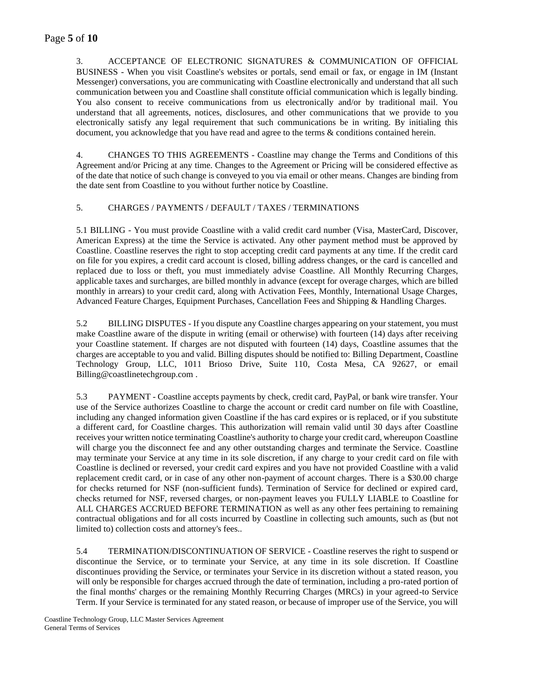## Page **5** of **10**

3. ACCEPTANCE OF ELECTRONIC SIGNATURES & COMMUNICATION OF OFFICIAL BUSINESS - When you visit Coastline's websites or portals, send email or fax, or engage in IM (Instant Messenger) conversations, you are communicating with Coastline electronically and understand that all such communication between you and Coastline shall constitute official communication which is legally binding. You also consent to receive communications from us electronically and/or by traditional mail. You understand that all agreements, notices, disclosures, and other communications that we provide to you electronically satisfy any legal requirement that such communications be in writing. By initialing this document, you acknowledge that you have read and agree to the terms & conditions contained herein.

4. CHANGES TO THIS AGREEMENTS - Coastline may change the Terms and Conditions of this Agreement and/or Pricing at any time. Changes to the Agreement or Pricing will be considered effective as of the date that notice of such change is conveyed to you via email or other means. Changes are binding from the date sent from Coastline to you without further notice by Coastline.

#### 5. CHARGES / PAYMENTS / DEFAULT / TAXES / TERMINATIONS

5.1 BILLING - You must provide Coastline with a valid credit card number (Visa, MasterCard, Discover, American Express) at the time the Service is activated. Any other payment method must be approved by Coastline. Coastline reserves the right to stop accepting credit card payments at any time. If the credit card on file for you expires, a credit card account is closed, billing address changes, or the card is cancelled and replaced due to loss or theft, you must immediately advise Coastline. All Monthly Recurring Charges, applicable taxes and surcharges, are billed monthly in advance (except for overage charges, which are billed monthly in arrears) to your credit card, along with Activation Fees, Monthly, International Usage Charges, Advanced Feature Charges, Equipment Purchases, Cancellation Fees and Shipping & Handling Charges.

5.2 BILLING DISPUTES - If you dispute any Coastline charges appearing on your statement, you must make Coastline aware of the dispute in writing (email or otherwise) with fourteen (14) days after receiving your Coastline statement. If charges are not disputed with fourteen (14) days, Coastline assumes that the charges are acceptable to you and valid. Billing disputes should be notified to: Billing Department, Coastline Technology Group, LLC, 1011 Brioso Drive, Suite 110, Costa Mesa, CA 92627, or email Billing@coastlinetechgroup.com .

5.3 PAYMENT - Coastline accepts payments by check, credit card, PayPal, or bank wire transfer. Your use of the Service authorizes Coastline to charge the account or credit card number on file with Coastline, including any changed information given Coastline if the has card expires or is replaced, or if you substitute a different card, for Coastline charges. This authorization will remain valid until 30 days after Coastline receives your written notice terminating Coastline's authority to charge your credit card, whereupon Coastline will charge you the disconnect fee and any other outstanding charges and terminate the Service. Coastline may terminate your Service at any time in its sole discretion, if any charge to your credit card on file with Coastline is declined or reversed, your credit card expires and you have not provided Coastline with a valid replacement credit card, or in case of any other non-payment of account charges. There is a \$30.00 charge for checks returned for NSF (non-sufficient funds). Termination of Service for declined or expired card, checks returned for NSF, reversed charges, or non-payment leaves you FULLY LIABLE to Coastline for ALL CHARGES ACCRUED BEFORE TERMINATION as well as any other fees pertaining to remaining contractual obligations and for all costs incurred by Coastline in collecting such amounts, such as (but not limited to) collection costs and attorney's fees..

5.4 TERMINATION/DISCONTINUATION OF SERVICE - Coastline reserves the right to suspend or discontinue the Service, or to terminate your Service, at any time in its sole discretion. If Coastline discontinues providing the Service, or terminates your Service in its discretion without a stated reason, you will only be responsible for charges accrued through the date of termination, including a pro-rated portion of the final months' charges or the remaining Monthly Recurring Charges (MRCs) in your agreed-to Service Term. If your Service is terminated for any stated reason, or because of improper use of the Service, you will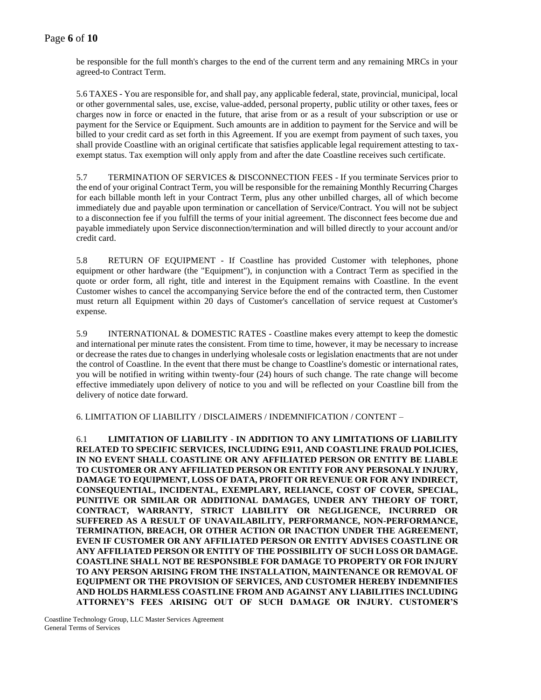### Page **6** of **10**

be responsible for the full month's charges to the end of the current term and any remaining MRCs in your agreed-to Contract Term.

5.6 TAXES - You are responsible for, and shall pay, any applicable federal, state, provincial, municipal, local or other governmental sales, use, excise, value-added, personal property, public utility or other taxes, fees or charges now in force or enacted in the future, that arise from or as a result of your subscription or use or payment for the Service or Equipment. Such amounts are in addition to payment for the Service and will be billed to your credit card as set forth in this Agreement. If you are exempt from payment of such taxes, you shall provide Coastline with an original certificate that satisfies applicable legal requirement attesting to taxexempt status. Tax exemption will only apply from and after the date Coastline receives such certificate.

5.7 TERMINATION OF SERVICES & DISCONNECTION FEES - If you terminate Services prior to the end of your original Contract Term, you will be responsible for the remaining Monthly Recurring Charges for each billable month left in your Contract Term, plus any other unbilled charges, all of which become immediately due and payable upon termination or cancellation of Service/Contract. You will not be subject to a disconnection fee if you fulfill the terms of your initial agreement. The disconnect fees become due and payable immediately upon Service disconnection/termination and will billed directly to your account and/or credit card.

5.8 RETURN OF EQUIPMENT - If Coastline has provided Customer with telephones, phone equipment or other hardware (the "Equipment"), in conjunction with a Contract Term as specified in the quote or order form, all right, title and interest in the Equipment remains with Coastline. In the event Customer wishes to cancel the accompanying Service before the end of the contracted term, then Customer must return all Equipment within 20 days of Customer's cancellation of service request at Customer's expense.

5.9 INTERNATIONAL & DOMESTIC RATES - Coastline makes every attempt to keep the domestic and international per minute rates the consistent. From time to time, however, it may be necessary to increase or decrease the rates due to changes in underlying wholesale costs or legislation enactments that are not under the control of Coastline. In the event that there must be change to Coastline's domestic or international rates, you will be notified in writing within twenty-four (24) hours of such change. The rate change will become effective immediately upon delivery of notice to you and will be reflected on your Coastline bill from the delivery of notice date forward.

6. LIMITATION OF LIABILITY / DISCLAIMERS / INDEMNIFICATION / CONTENT –

6.1 **LIMITATION OF LIABILITY** - **IN ADDITION TO ANY LIMITATIONS OF LIABILITY RELATED TO SPECIFIC SERVICES, INCLUDING E911, AND COASTLINE FRAUD POLICIES, IN NO EVENT SHALL COASTLINE OR ANY AFFILIATED PERSON OR ENTITY BE LIABLE TO CUSTOMER OR ANY AFFILIATED PERSON OR ENTITY FOR ANY PERSONALY INJURY, DAMAGE TO EQUIPMENT, LOSS OF DATA, PROFIT OR REVENUE OR FOR ANY INDIRECT, CONSEQUENTIAL, INCIDENTAL, EXEMPLARY, RELIANCE, COST OF COVER, SPECIAL, PUNITIVE OR SIMILAR OR ADDITIONAL DAMAGES, UNDER ANY THEORY OF TORT, CONTRACT, WARRANTY, STRICT LIABILITY OR NEGLIGENCE, INCURRED OR SUFFERED AS A RESULT OF UNAVAILABILITY, PERFORMANCE, NON-PERFORMANCE, TERMINATION, BREACH, OR OTHER ACTION OR INACTION UNDER THE AGREEMENT, EVEN IF CUSTOMER OR ANY AFFILIATED PERSON OR ENTITY ADVISES COASTLINE OR ANY AFFILIATED PERSON OR ENTITY OF THE POSSIBILITY OF SUCH LOSS OR DAMAGE. COASTLINE SHALL NOT BE RESPONSIBLE FOR DAMAGE TO PROPERTY OR FOR INJURY TO ANY PERSON ARISING FROM THE INSTALLATION, MAINTENANCE OR REMOVAL OF EQUIPMENT OR THE PROVISION OF SERVICES, AND CUSTOMER HEREBY INDEMNIFIES AND HOLDS HARMLESS COASTLINE FROM AND AGAINST ANY LIABILITIES INCLUDING ATTORNEY'S FEES ARISING OUT OF SUCH DAMAGE OR INJURY. CUSTOMER'S**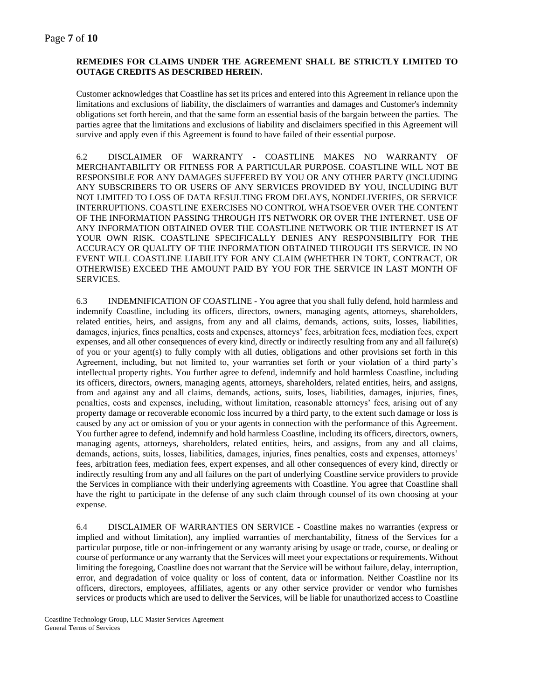### **REMEDIES FOR CLAIMS UNDER THE AGREEMENT SHALL BE STRICTLY LIMITED TO OUTAGE CREDITS AS DESCRIBED HEREIN.**

Customer acknowledges that Coastline has set its prices and entered into this Agreement in reliance upon the limitations and exclusions of liability, the disclaimers of warranties and damages and Customer's indemnity obligations set forth herein, and that the same form an essential basis of the bargain between the parties. The parties agree that the limitations and exclusions of liability and disclaimers specified in this Agreement will survive and apply even if this Agreement is found to have failed of their essential purpose.

6.2 DISCLAIMER OF WARRANTY - COASTLINE MAKES NO WARRANTY OF MERCHANTABILITY OR FITNESS FOR A PARTICULAR PURPOSE. COASTLINE WILL NOT BE RESPONSIBLE FOR ANY DAMAGES SUFFERED BY YOU OR ANY OTHER PARTY (INCLUDING ANY SUBSCRIBERS TO OR USERS OF ANY SERVICES PROVIDED BY YOU, INCLUDING BUT NOT LIMITED TO LOSS OF DATA RESULTING FROM DELAYS, NONDELIVERIES, OR SERVICE INTERRUPTIONS. COASTLINE EXERCISES NO CONTROL WHATSOEVER OVER THE CONTENT OF THE INFORMATION PASSING THROUGH ITS NETWORK OR OVER THE INTERNET. USE OF ANY INFORMATION OBTAINED OVER THE COASTLINE NETWORK OR THE INTERNET IS AT YOUR OWN RISK. COASTLINE SPECIFICALLY DENIES ANY RESPONSIBILITY FOR THE ACCURACY OR QUALITY OF THE INFORMATION OBTAINED THROUGH ITS SERVICE. IN NO EVENT WILL COASTLINE LIABILITY FOR ANY CLAIM (WHETHER IN TORT, CONTRACT, OR OTHERWISE) EXCEED THE AMOUNT PAID BY YOU FOR THE SERVICE IN LAST MONTH OF SERVICES.

6.3 INDEMNIFICATION OF COASTLINE - You agree that you shall fully defend, hold harmless and indemnify Coastline, including its officers, directors, owners, managing agents, attorneys, shareholders, related entities, heirs, and assigns, from any and all claims, demands, actions, suits, losses, liabilities, damages, injuries, fines penalties, costs and expenses, attorneys' fees, arbitration fees, mediation fees, expert expenses, and all other consequences of every kind, directly or indirectly resulting from any and all failure(s) of you or your agent(s) to fully comply with all duties, obligations and other provisions set forth in this Agreement, including, but not limited to, your warranties set forth or your violation of a third party's intellectual property rights. You further agree to defend, indemnify and hold harmless Coastline, including its officers, directors, owners, managing agents, attorneys, shareholders, related entities, heirs, and assigns, from and against any and all claims, demands, actions, suits, loses, liabilities, damages, injuries, fines, penalties, costs and expenses, including, without limitation, reasonable attorneys' fees, arising out of any property damage or recoverable economic loss incurred by a third party, to the extent such damage or loss is caused by any act or omission of you or your agents in connection with the performance of this Agreement. You further agree to defend, indemnify and hold harmless Coastline, including its officers, directors, owners, managing agents, attorneys, shareholders, related entities, heirs, and assigns, from any and all claims, demands, actions, suits, losses, liabilities, damages, injuries, fines penalties, costs and expenses, attorneys' fees, arbitration fees, mediation fees, expert expenses, and all other consequences of every kind, directly or indirectly resulting from any and all failures on the part of underlying Coastline service providers to provide the Services in compliance with their underlying agreements with Coastline. You agree that Coastline shall have the right to participate in the defense of any such claim through counsel of its own choosing at your expense.

6.4 DISCLAIMER OF WARRANTIES ON SERVICE - Coastline makes no warranties (express or implied and without limitation), any implied warranties of merchantability, fitness of the Services for a particular purpose, title or non-infringement or any warranty arising by usage or trade, course, or dealing or course of performance or any warranty that the Services will meet your expectations or requirements. Without limiting the foregoing, Coastline does not warrant that the Service will be without failure, delay, interruption, error, and degradation of voice quality or loss of content, data or information. Neither Coastline nor its officers, directors, employees, affiliates, agents or any other service provider or vendor who furnishes services or products which are used to deliver the Services, will be liable for unauthorized access to Coastline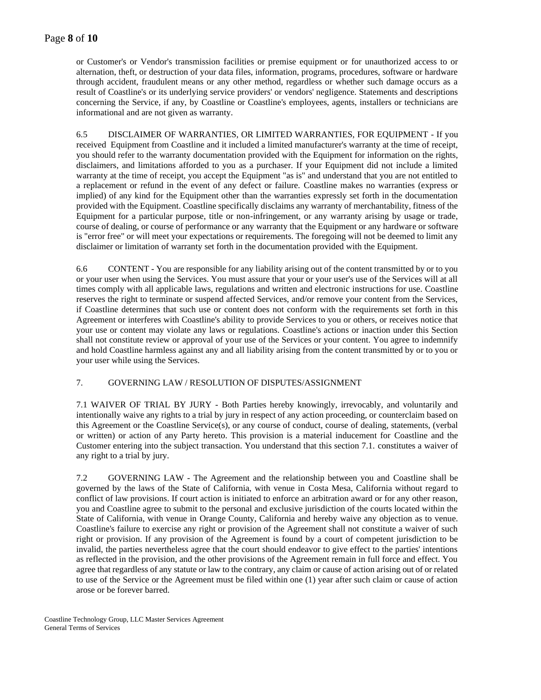or Customer's or Vendor's transmission facilities or premise equipment or for unauthorized access to or alternation, theft, or destruction of your data files, information, programs, procedures, software or hardware through accident, fraudulent means or any other method, regardless or whether such damage occurs as a result of Coastline's or its underlying service providers' or vendors' negligence. Statements and descriptions concerning the Service, if any, by Coastline or Coastline's employees, agents, installers or technicians are informational and are not given as warranty.

6.5 DISCLAIMER OF WARRANTIES, OR LIMITED WARRANTIES, FOR EQUIPMENT - If you received Equipment from Coastline and it included a limited manufacturer's warranty at the time of receipt, you should refer to the warranty documentation provided with the Equipment for information on the rights, disclaimers, and limitations afforded to you as a purchaser. If your Equipment did not include a limited warranty at the time of receipt, you accept the Equipment "as is" and understand that you are not entitled to a replacement or refund in the event of any defect or failure. Coastline makes no warranties (express or implied) of any kind for the Equipment other than the warranties expressly set forth in the documentation provided with the Equipment. Coastline specifically disclaims any warranty of merchantability, fitness of the Equipment for a particular purpose, title or non-infringement, or any warranty arising by usage or trade, course of dealing, or course of performance or any warranty that the Equipment or any hardware or software is "error free" or will meet your expectations or requirements. The foregoing will not be deemed to limit any disclaimer or limitation of warranty set forth in the documentation provided with the Equipment.

6.6 CONTENT - You are responsible for any liability arising out of the content transmitted by or to you or your user when using the Services. You must assure that your or your user's use of the Services will at all times comply with all applicable laws, regulations and written and electronic instructions for use. Coastline reserves the right to terminate or suspend affected Services, and/or remove your content from the Services, if Coastline determines that such use or content does not conform with the requirements set forth in this Agreement or interferes with Coastline's ability to provide Services to you or others, or receives notice that your use or content may violate any laws or regulations. Coastline's actions or inaction under this Section shall not constitute review or approval of your use of the Services or your content. You agree to indemnify and hold Coastline harmless against any and all liability arising from the content transmitted by or to you or your user while using the Services.

#### 7. GOVERNING LAW / RESOLUTION OF DISPUTES/ASSIGNMENT

7.1 WAIVER OF TRIAL BY JURY - Both Parties hereby knowingly, irrevocably, and voluntarily and intentionally waive any rights to a trial by jury in respect of any action proceeding, or counterclaim based on this Agreement or the Coastline Service(s), or any course of conduct, course of dealing, statements, (verbal or written) or action of any Party hereto. This provision is a material inducement for Coastline and the Customer entering into the subject transaction. You understand that this section 7.1. constitutes a waiver of any right to a trial by jury.

7.2 GOVERNING LAW - The Agreement and the relationship between you and Coastline shall be governed by the laws of the State of California, with venue in Costa Mesa, California without regard to conflict of law provisions. If court action is initiated to enforce an arbitration award or for any other reason, you and Coastline agree to submit to the personal and exclusive jurisdiction of the courts located within the State of California, with venue in Orange County, California and hereby waive any objection as to venue. Coastline's failure to exercise any right or provision of the Agreement shall not constitute a waiver of such right or provision. If any provision of the Agreement is found by a court of competent jurisdiction to be invalid, the parties nevertheless agree that the court should endeavor to give effect to the parties' intentions as reflected in the provision, and the other provisions of the Agreement remain in full force and effect. You agree that regardless of any statute or law to the contrary, any claim or cause of action arising out of or related to use of the Service or the Agreement must be filed within one (1) year after such claim or cause of action arose or be forever barred.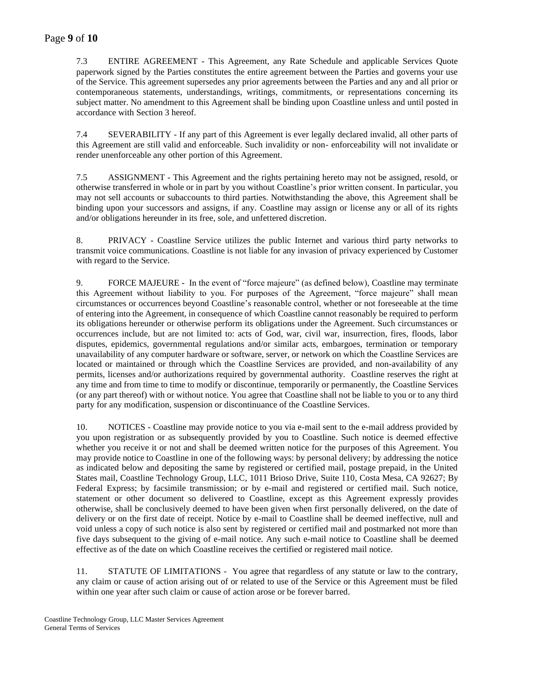### Page **9** of **10**

7.3 ENTIRE AGREEMENT - This Agreement, any Rate Schedule and applicable Services Quote paperwork signed by the Parties constitutes the entire agreement between the Parties and governs your use of the Service. This agreement supersedes any prior agreements between the Parties and any and all prior or contemporaneous statements, understandings, writings, commitments, or representations concerning its subject matter. No amendment to this Agreement shall be binding upon Coastline unless and until posted in accordance with Section 3 hereof.

7.4 SEVERABILITY - If any part of this Agreement is ever legally declared invalid, all other parts of this Agreement are still valid and enforceable. Such invalidity or non- enforceability will not invalidate or render unenforceable any other portion of this Agreement.

7.5 ASSIGNMENT - This Agreement and the rights pertaining hereto may not be assigned, resold, or otherwise transferred in whole or in part by you without Coastline's prior written consent. In particular, you may not sell accounts or subaccounts to third parties. Notwithstanding the above, this Agreement shall be binding upon your successors and assigns, if any. Coastline may assign or license any or all of its rights and/or obligations hereunder in its free, sole, and unfettered discretion.

8. PRIVACY - Coastline Service utilizes the public Internet and various third party networks to transmit voice communications. Coastline is not liable for any invasion of privacy experienced by Customer with regard to the Service.

9. FORCE MAJEURE - In the event of "force majeure" (as defined below), Coastline may terminate this Agreement without liability to you. For purposes of the Agreement, "force majeure" shall mean circumstances or occurrences beyond Coastline's reasonable control, whether or not foreseeable at the time of entering into the Agreement, in consequence of which Coastline cannot reasonably be required to perform its obligations hereunder or otherwise perform its obligations under the Agreement. Such circumstances or occurrences include, but are not limited to: acts of God, war, civil war, insurrection, fires, floods, labor disputes, epidemics, governmental regulations and/or similar acts, embargoes, termination or temporary unavailability of any computer hardware or software, server, or network on which the Coastline Services are located or maintained or through which the Coastline Services are provided, and non-availability of any permits, licenses and/or authorizations required by governmental authority. Coastline reserves the right at any time and from time to time to modify or discontinue, temporarily or permanently, the Coastline Services (or any part thereof) with or without notice. You agree that Coastline shall not be liable to you or to any third party for any modification, suspension or discontinuance of the Coastline Services.

10. NOTICES - Coastline may provide notice to you via e-mail sent to the e-mail address provided by you upon registration or as subsequently provided by you to Coastline. Such notice is deemed effective whether you receive it or not and shall be deemed written notice for the purposes of this Agreement. You may provide notice to Coastline in one of the following ways: by personal delivery; by addressing the notice as indicated below and depositing the same by registered or certified mail, postage prepaid, in the United States mail, Coastline Technology Group, LLC, 1011 Brioso Drive, Suite 110, Costa Mesa, CA 92627; By Federal Express; by facsimile transmission; or by e-mail and registered or certified mail. Such notice, statement or other document so delivered to Coastline, except as this Agreement expressly provides otherwise, shall be conclusively deemed to have been given when first personally delivered, on the date of delivery or on the first date of receipt. Notice by e-mail to Coastline shall be deemed ineffective, null and void unless a copy of such notice is also sent by registered or certified mail and postmarked not more than five days subsequent to the giving of e-mail notice. Any such e-mail notice to Coastline shall be deemed effective as of the date on which Coastline receives the certified or registered mail notice.

11. STATUTE OF LIMITATIONS - You agree that regardless of any statute or law to the contrary, any claim or cause of action arising out of or related to use of the Service or this Agreement must be filed within one year after such claim or cause of action arose or be forever barred.